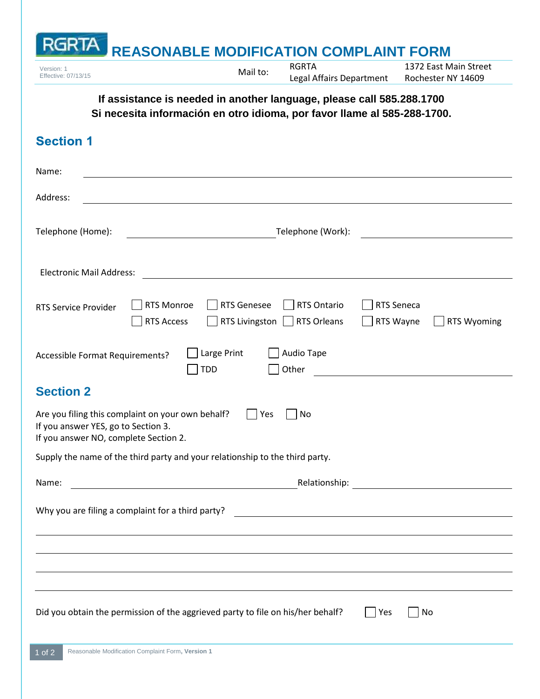## **RGRTA REASONABLE MODIFICATION COMPLAINT FORM** Version: 1<br>Effective: 07/13/15 **Mail to:** RGRTA 1372 East Main Street Legal Affairs Department Rochester NY 14609 **If assistance is needed in another language, please call 585.288.1700 Si necesita información en otro idioma, por favor llame al 585-288-1700. Section 1**

| Name:                                                                                                                                          |                                                                                                                                                                                                                                                                |  |  |  |  |  |  |
|------------------------------------------------------------------------------------------------------------------------------------------------|----------------------------------------------------------------------------------------------------------------------------------------------------------------------------------------------------------------------------------------------------------------|--|--|--|--|--|--|
| Address:                                                                                                                                       |                                                                                                                                                                                                                                                                |  |  |  |  |  |  |
| Telephone (Home):                                                                                                                              |                                                                                                                                                                                                                                                                |  |  |  |  |  |  |
| <b>Electronic Mail Address:</b>                                                                                                                |                                                                                                                                                                                                                                                                |  |  |  |  |  |  |
| <b>RTS Service Provider</b>                                                                                                                    | <b>RTS Monroe</b><br><b>RTS Seneca</b><br><b>RTS Genesee</b><br>RTS Ontario<br>RTS Wayne<br><b>RTS Access</b><br>RTS Livingston  <br><b>RTS Orleans</b><br><b>RTS Wyoming</b>                                                                                  |  |  |  |  |  |  |
| Large Print<br>Audio Tape<br>Accessible Format Requirements?<br>Other<br><b>TDD</b>                                                            |                                                                                                                                                                                                                                                                |  |  |  |  |  |  |
| <b>Section 2</b>                                                                                                                               |                                                                                                                                                                                                                                                                |  |  |  |  |  |  |
| Are you filing this complaint on your own behalf?<br>Yes<br>No<br>If you answer YES, go to Section 3.<br>If you answer NO, complete Section 2. |                                                                                                                                                                                                                                                                |  |  |  |  |  |  |
| Supply the name of the third party and your relationship to the third party.                                                                   |                                                                                                                                                                                                                                                                |  |  |  |  |  |  |
| Name:                                                                                                                                          | Relationship:<br><u> 1980 - Johann Barn, mars ann an t-Amhain Aonaich an t-Aonaich an t-Aonaich ann an t-Aonaich ann an t-Aonaich</u><br><u> 1980 - Jan Barat, prima prima prima prima prima prima prima prima prima prima prima prima prima prima prima p</u> |  |  |  |  |  |  |
| Why you are filing a complaint for a third party?                                                                                              |                                                                                                                                                                                                                                                                |  |  |  |  |  |  |
|                                                                                                                                                |                                                                                                                                                                                                                                                                |  |  |  |  |  |  |
|                                                                                                                                                |                                                                                                                                                                                                                                                                |  |  |  |  |  |  |
|                                                                                                                                                |                                                                                                                                                                                                                                                                |  |  |  |  |  |  |
|                                                                                                                                                | Did you obtain the permission of the aggrieved party to file on his/her behalf?<br> Yes<br>No                                                                                                                                                                  |  |  |  |  |  |  |